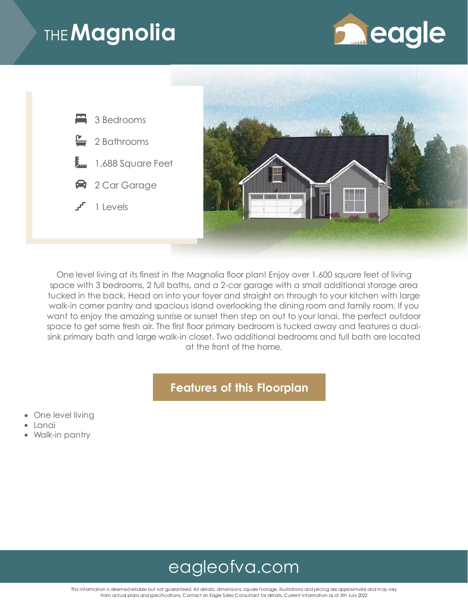# THE**Magnolia**





One level living at its finest in the Magnolia floor plan! Enjoy over 1,600 square feet of living space with 3 bedrooms, 2 full baths, and a 2-car garage with a small additional storage area tucked in the back. Head on into your foyer and straight on through to your kitchen with large walk-in corner pantry and spacious island overlooking the dining room and family room. If you want to enjoy the amazing sunrise or sunset then step on out to your lanai, the perfect outdoor space to get some fresh air. The first floor primary bedroom is tucked away and features a dualsink primary bath and large walk-in closet. Two additional bedrooms and full bath are located at the front of the home.

#### **Features of this Floorplan**

- One level living
- Lanai
- Walk-in pantry

### [eagleofva.com](file:///)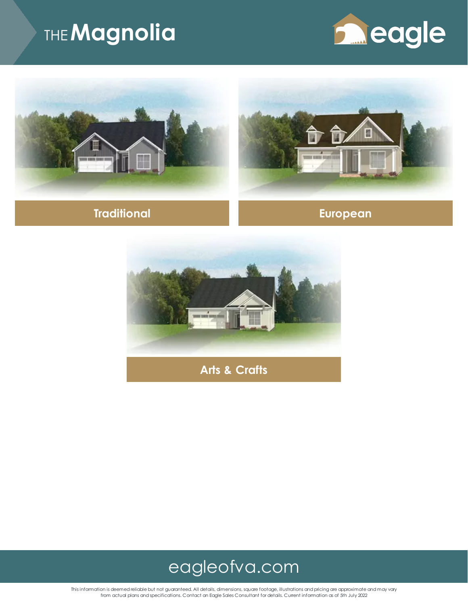# THE**Magnolia**











**Arts & Crafts**



This information is deemed reliable but not guaranteed. All details, dimensions, square footage, illustrations and pricing are approximate and may vary<br>from actual plans and specifications. Contact an Eagle Sales Consultan